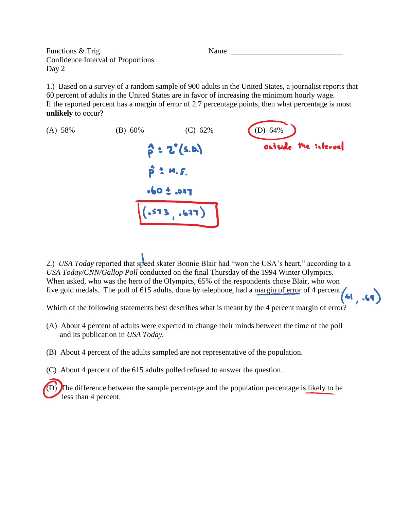Functions & Trig Name Confidence Interval of Proportions Day 2

1.) Based on a survey of a random sample of 900 adults in the United States, a journalist reports that 60 percent of adults in the United States are in favor of increasing the minimum hourly wage. If the reported percent has a margin of error of 2.7 percentage points, then what percentage is most **unlikely** to occur?



2.) *USA Today* reported that speed skater Bonnie Blair had "won the USA's heart," according to a *USA Today/CNN/Gallop Poll* conducted on the final Thursday of the 1994 Winter Olympics. When asked, who was the hero of the Olympics, 65% of the respondents chose Blair, who won five gold medals. The poll of 615 adults, done by telephone, had a margin of error of 4 percent.

Which of the following statements best describes what is meant by the 4 percent margin of error?

- (A) About 4 percent of adults were expected to change their minds between the time of the poll and its publication in *USA Today.*
- (B) About 4 percent of the adults sampled are not representative of the population.
- (C) About 4 percent of the 615 adults polled refused to answer the question.

The difference between the sample percentage and the population percentage is likely to be less than 4 percent.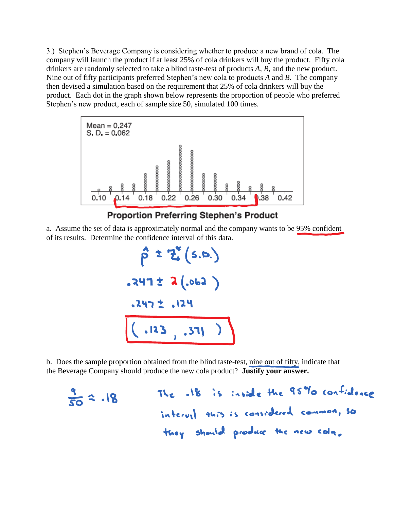3.) Stephen's Beverage Company is considering whether to produce a new brand of cola. The company will launch the product if at least 25% of cola drinkers will buy the product. Fifty cola drinkers are randomly selected to take a blind taste-test of products *A*, *B*, and the new product. Nine out of fifty participants preferred Stephen's new cola to products *A* and *B*. The company then devised a simulation based on the requirement that 25% of cola drinkers will buy the product. Each dot in the graph shown below represents the proportion of people who preferred Stephen's new product, each of sample size 50, simulated 100 times.



## **Proportion Preferring Stephen's Product**

a. Assume the set of data is approximately normal and the company wants to be 95% confident of its results. Determine the confidence interval of this data.

$$
\hat{\rho} \pm 2^{\nu} (5.0.)
$$
  
.247 ± 2(.062 )  
.247 ± .124  
(.123 , .371 )

b. Does the sample proportion obtained from the blind taste-test, nine out of fifty, indicate that the Beverage Company should produce the new cola product? **Justify your answer.**

$$
\frac{9}{50} \approx .18
$$
 The .18 is inside the 95% confidence interval, so  
interval this is considered common, so  
they should produce the new colq.